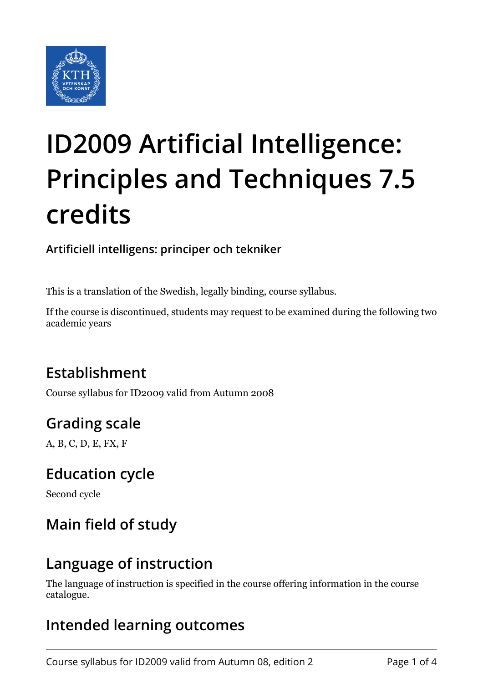

# **ID2009 Artificial Intelligence: Principles and Techniques 7.5 credits**

#### **Artificiell intelligens: principer och tekniker**

This is a translation of the Swedish, legally binding, course syllabus.

If the course is discontinued, students may request to be examined during the following two academic years

### **Establishment**

Course syllabus for ID2009 valid from Autumn 2008

## **Grading scale**

A, B, C, D, E, FX, F

#### **Education cycle**

Second cycle

## **Main field of study**

#### **Language of instruction**

The language of instruction is specified in the course offering information in the course catalogue.

### **Intended learning outcomes**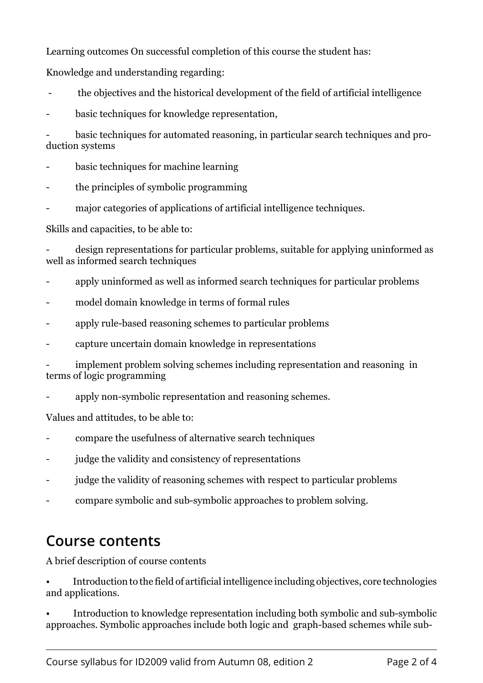Learning outcomes On successful completion of this course the student has:

Knowledge and understanding regarding:

- the objectives and the historical development of the field of artificial intelligence
- basic techniques for knowledge representation,

basic techniques for automated reasoning, in particular search techniques and production systems

- basic techniques for machine learning
- the principles of symbolic programming
- major categories of applications of artificial intelligence techniques.

Skills and capacities, to be able to:

design representations for particular problems, suitable for applying uninformed as well as informed search techniques

- apply uninformed as well as informed search techniques for particular problems
- model domain knowledge in terms of formal rules
- apply rule-based reasoning schemes to particular problems
- capture uncertain domain knowledge in representations

implement problem solving schemes including representation and reasoning in terms of logic programming

apply non-symbolic representation and reasoning schemes.

Values and attitudes, to be able to:

- compare the usefulness of alternative search techniques
- iudge the validity and consistency of representations
- judge the validity of reasoning schemes with respect to particular problems
- compare symbolic and sub-symbolic approaches to problem solving.

#### **Course contents**

A brief description of course contents

• Introduction to the field of artificial intelligence including objectives, core technologies and applications.

• Introduction to knowledge representation including both symbolic and sub-symbolic approaches. Symbolic approaches include both logic and graph-based schemes while sub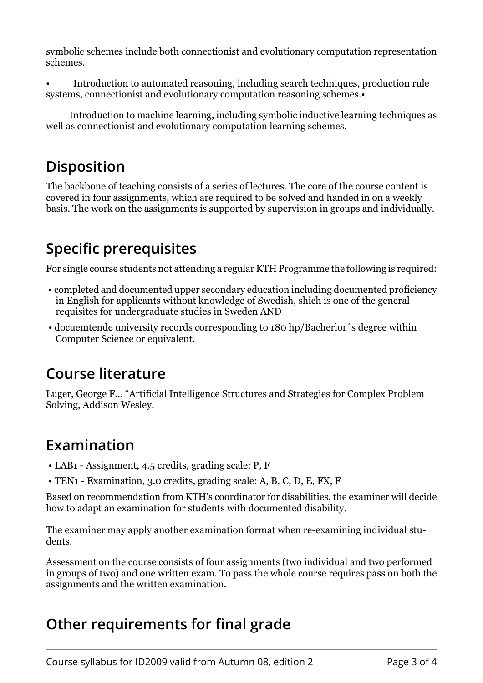symbolic schemes include both connectionist and evolutionary computation representation schemes.

• Introduction to automated reasoning, including search techniques, production rule systems, connectionist and evolutionary computation reasoning schemes.

 Introduction to machine learning, including symbolic inductive learning techniques as well as connectionist and evolutionary computation learning schemes.

## **Disposition**

The backbone of teaching consists of a series of lectures. The core of the course content is covered in four assignments, which are required to be solved and handed in on a weekly basis. The work on the assignments is supported by supervision in groups and individually.

## **Specific prerequisites**

For single course students not attending a regular KTH Programme the following is required:

- completed and documented upper secondary education including documented proficiency in English for applicants without knowledge of Swedish, shich is one of the general requisites for undergraduate studies in Sweden AND
- docuemtende university records corresponding to 180 hp/Bacherlor´s degree within Computer Science or equivalent.

### **Course literature**

Luger, George F.., "Artificial Intelligence Structures and Strategies for Complex Problem Solving, Addison Wesley.

### **Examination**

- LAB1 Assignment, 4.5 credits, grading scale: P, F
- TEN1 Examination, 3.0 credits, grading scale: A, B, C, D, E, FX, F

Based on recommendation from KTH's coordinator for disabilities, the examiner will decide how to adapt an examination for students with documented disability.

The examiner may apply another examination format when re-examining individual students.

Assessment on the course consists of four assignments (two individual and two performed in groups of two) and one written exam. To pass the whole course requires pass on both the assignments and the written examination.

## **Other requirements for final grade**